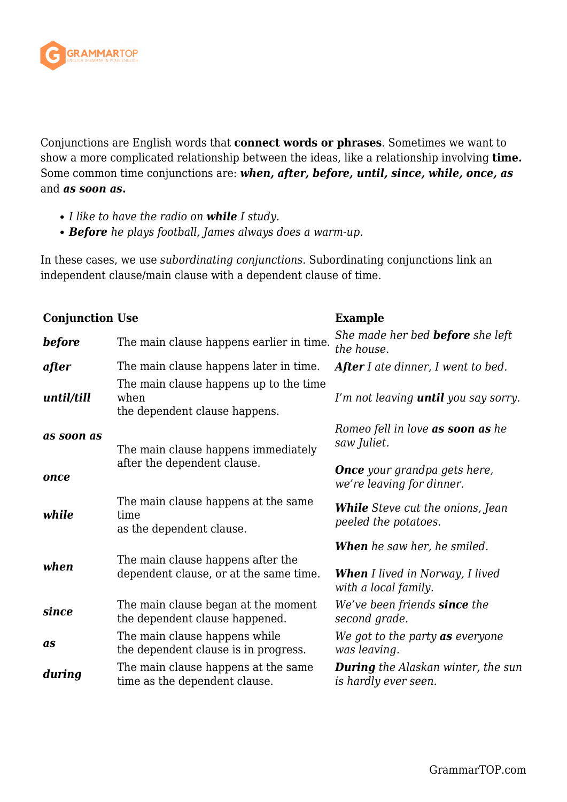

Conjunctions are English words that **connect words or phrases**. Sometimes we want to show a more complicated relationship between the ideas, like a relationship involving **time.** Some common time conjunctions are: *when, after, before, until, since, while, once, as* and *as soon as***.**

- *I like to have the radio on while I study.*
- *Before he plays football, James always does a warm-up.*

In these cases, we use *subordinating conjunctions*. Subordinating conjunctions link an independent clause/main clause with a dependent clause of time.

| <b>Conjunction Use</b> |                                                                                 | <b>Example</b>                                                                                       |
|------------------------|---------------------------------------------------------------------------------|------------------------------------------------------------------------------------------------------|
| <b>before</b>          | The main clause happens earlier in time.                                        | She made her bed <b>before</b> she left<br>the house.                                                |
| after                  | The main clause happens later in time.                                          | <b>After</b> I ate dinner, I went to bed.                                                            |
| until/till             | The main clause happens up to the time<br>when<br>the dependent clause happens. | I'm not leaving <b>until</b> you say sorry.                                                          |
| as soon as             | The main clause happens immediately                                             | Romeo fell in love <b>as soon as</b> he<br>saw Juliet.                                               |
| once                   | after the dependent clause.                                                     | <b>Once</b> your grandpa gets here,<br>we're leaving for dinner.                                     |
| while                  | The main clause happens at the same<br>time<br>as the dependent clause.         | <b>While</b> Steve cut the onions, Jean<br>peeled the potatoes.                                      |
| when                   | The main clause happens after the<br>dependent clause, or at the same time.     | <b>When</b> he saw her, he smiled.<br><b>When</b> I lived in Norway, I lived<br>with a local family. |
| since                  | The main clause began at the moment<br>the dependent clause happened.           | We've been friends <b>since</b> the<br>second grade.                                                 |
| as                     | The main clause happens while<br>the dependent clause is in progress.           | We got to the party <b>as</b> everyone<br>was leaving.                                               |
| during                 | The main clause happens at the same<br>time as the dependent clause.            | <b>During</b> the Alaskan winter, the sun<br>is hardly ever seen.                                    |
|                        |                                                                                 |                                                                                                      |